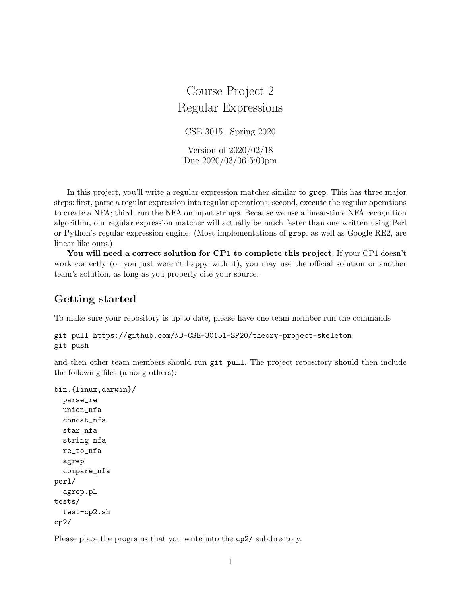# Course Project 2 Regular Expressions CSE 30151 Spring 2020 Version of 2020/02/18 Due 2020/03/06 5:00pm

In this project, you'll write a regular expression matcher similar to grep. This has three major steps: first, parse a regular expression into regular operations; second, execute the regular operations to create a NFA; third, run the NFA on input strings. Because we use a linear-time NFA recognition algorithm, our regular expression matcher will actually be much faster than one written using Perl or Python's regular expression engine. (Most implementations of grep, as well as Google RE2, are linear like ours.)

You will need a correct solution for CP1 to complete this project. If your CP1 doesn't work correctly (or you just weren't happy with it), you may use the official solution or another team's solution, as long as you properly cite your source.

### Getting started

To make sure your repository is up to date, please have one team member run the commands

```
git pull https://github.com/ND-CSE-30151-SP20/theory-project-skeleton
git push
```
and then other team members should run git pull. The project repository should then include the following files (among others):

```
bin.{linux,darwin}/
 parse_re
  union_nfa
  concat_nfa
  star_nfa
  string_nfa
 re_to_nfa
  agrep
  compare_nfa
perl/
  agrep.pl
tests/
  test-cp2.sh
cp2/
```
Please place the programs that you write into the cp2/ subdirectory.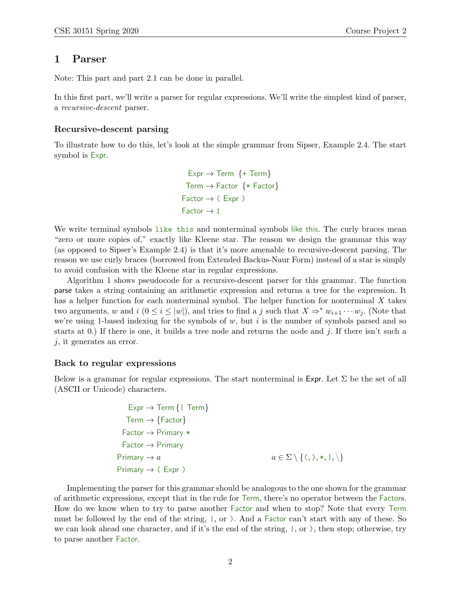### 1 Parser

Note: This part and part 2.1 can be done in parallel.

In this first part, we'll write a parser for regular expressions. We'll write the simplest kind of parser, a recursive-descent parser.

#### Recursive-descent parsing

To illustrate how to do this, let's look at the simple grammar from Sipser, Example 2.4. The start symbol is Expr.

```
Expr \rightarrow Term {+ Term}
 Term \rightarrow Factor \{ * Factor}
Factor \rightarrow (Expr)Factor \rightarrow 1
```
We write terminal symbols like this and nonterminal symbols like this. The curly braces mean "zero or more copies of," exactly like Kleene star. The reason we design the grammar this way (as opposed to Sipser's Example 2.4) is that it's more amenable to recursive-descent parsing. The reason we use curly braces (borrowed from Extended Backus-Naur Form) instead of a star is simply to avoid confusion with the Kleene star in regular expressions.

Algorithm 1 shows pseudocode for a recursive-descent parser for this grammar. The function parse takes a string containing an arithmetic expression and returns a tree for the expression. It has a helper function for each nonterminal symbol. The helper function for nonterminal  $X$  takes two arguments, w and i  $(0 \le i \le |w|)$ , and tries to find a j such that  $X \Rightarrow^* w_{i+1} \cdots w_j$ . (Note that we're using 1-based indexing for the symbols of  $w$ , but  $i$  is the number of symbols parsed and so starts at 0.) If there is one, it builds a tree node and returns the node and j. If there isn't such a  $j$ , it generates an error.

#### Back to regular expressions

Below is a grammar for regular expressions. The start nonterminal is  $\text{Expr}$ . Let  $\Sigma$  be the set of all (ASCII or Unicode) characters.

```
Expr \rightarrow Term {| Term}
  Term \rightarrow \{Factor\}Factor → Primary *
 Factor → Primary
Primary \rightarrow a a \in \Sigma \setminus \{ (, ), *, |, \rangle \}Primary \rightarrow (Expr )
```
Implementing the parser for this grammar should be analogous to the one shown for the grammar of arithmetic expressions, except that in the rule for Term, there's no operator between the Factors. How do we know when to try to parse another Factor and when to stop? Note that every Term must be followed by the end of the string, |, or ). And a Factor can't start with any of these. So we can look ahead one character, and if it's the end of the string,  $, \alpha$ , or ), then stop; otherwise, try to parse another Factor.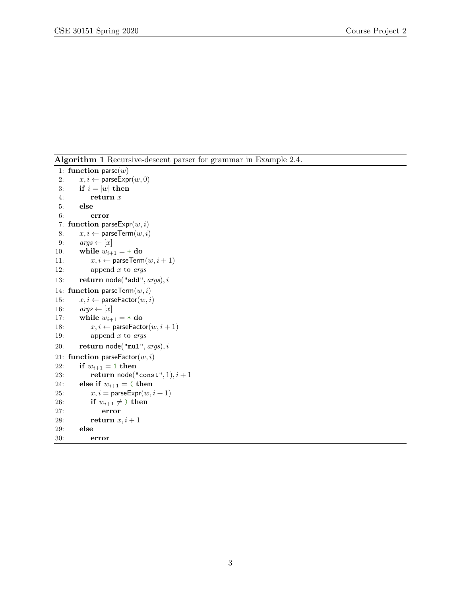Algorithm 1 Recursive-descent parser for grammar in Example 2.4.

```
1: function parse(w)2: x, i \leftarrow \text{parseExpr}(w, 0)3: if i = |w| then
 4: return x
 5: else
 6: error
 7: function parseExpr(w, i)8: x, i \leftarrow \text{parseTerm}(w, i)9: args \leftarrow [x]10: while w_{i+1} = + do
11: x, i \leftarrow \text{parseTerm}(w, i + 1)12: append x to args13: return node("add", args), i14: function parseTerm(w, i)15: x, i \leftarrow \text{parseFactor}(w, i)16: args \leftarrow [x]17: while w_{i+1} = * do<br>18: x, i \leftarrow parseFacto
          x, i \leftarrow parseFactor(w, i + 1)19: append x to args20: return node("mul", args), i21: function parseFactor(w, i)22: if w_{i+1} = 1 then
23: return node("const", 1), i + 124: else if w_{i+1} = ( then
25: x, i = \text{parseExpr}(w, i + 1)26: if w_{i+1} \neq then
27: error
28: return x, i+129: else
30: error
```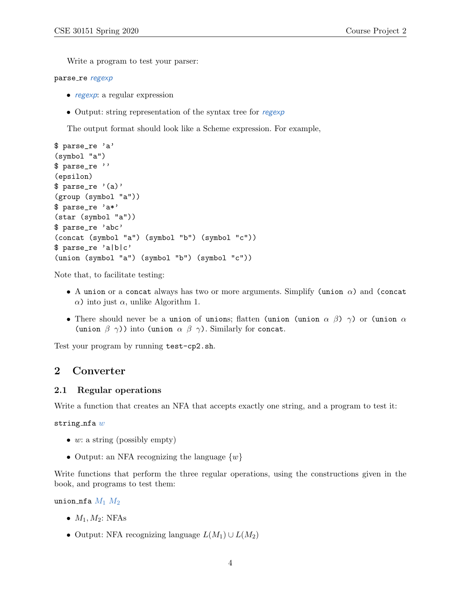Write a program to test your parser:

#### parse\_re regexp

- regexp: a regular expression
- Output: string representation of the syntax tree for regexp

The output format should look like a Scheme expression. For example,

```
$ parse_re 'a'
(symbol "a")
$ parse_re ''
(epsilon)
$ parse_re '(a)'
(group (symbol "a"))
$ parse_re 'a*'
(star (symbol "a"))
$ parse_re 'abc'
(concat (symbol "a") (symbol "b") (symbol "c"))
$ parse_re 'a|b|c'
(union (symbol "a") (symbol "b") (symbol "c"))
```
Note that, to facilitate testing:

- A union or a concat always has two or more arguments. Simplify (union  $\alpha$ ) and (concat α) into just α, unlike Algorithm 1.
- There should never be a union of unions; flatten (union (union  $\alpha$   $\beta$ )  $\gamma$ ) or (union  $\alpha$ (union  $\beta$   $\gamma$ )) into (union  $\alpha$   $\beta$   $\gamma$ ). Similarly for concat.

Test your program by running test-cp2.sh.

### 2 Converter

#### 2.1 Regular operations

Write a function that creates an NFA that accepts exactly one string, and a program to test it:

string  $nfa$   $w$ 

- $w:$  a string (possibly empty)
- Output: an NFA recognizing the language  $\{w\}$

Write functions that perform the three regular operations, using the constructions given in the book, and programs to test them:

union nfa  $M_1 M_2$ 

- $M_1, M_2$ : NFAs
- Output: NFA recognizing language  $L(M_1) \cup L(M_2)$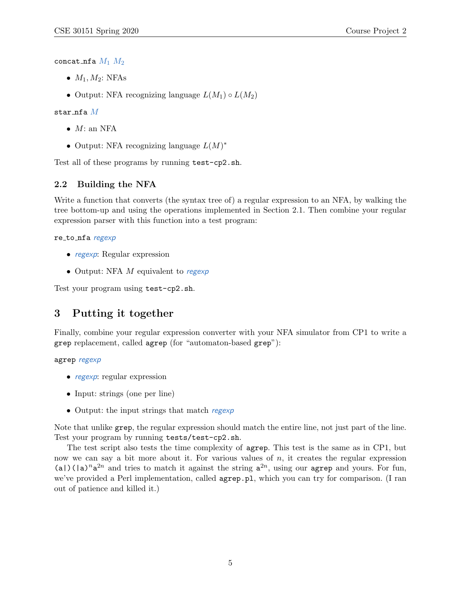concat\_nfa  $M_1$   $M_2$ 

- $\bullet$   $M_1, M_2$ : NFAs
- Output: NFA recognizing language  $L(M_1) \circ L(M_2)$

#### star\_nfa $M$

- $\bullet$  *M*: an NFA
- Output: NFA recognizing language  $L(M)^*$

Test all of these programs by running test-cp2.sh.

### 2.2 Building the NFA

Write a function that converts (the syntax tree of) a regular expression to an NFA, by walking the tree bottom-up and using the operations implemented in Section 2.1. Then combine your regular expression parser with this function into a test program:

#### re to nfa regexp

- regexp: Regular expression
- Output: NFA  $M$  equivalent to regexp

Test your program using test-cp2.sh.

## 3 Putting it together

Finally, combine your regular expression converter with your NFA simulator from CP1 to write a grep replacement, called agrep (for "automaton-based grep"):

agrep regexp

- regexp: regular expression
- Input: strings (one per line)
- Output: the input strings that match regexp

Note that unlike grep, the regular expression should match the entire line, not just part of the line. Test your program by running tests/test-cp2.sh.

The test script also tests the time complexity of agrep. This test is the same as in CP1, but now we can say a bit more about it. For various values of  $n$ , it creates the regular expression (a)(|a)<sup>n</sup>a<sup>2n</sup> and tries to match it against the string  $a^{2n}$ , using our agrep and yours. For fun, we've provided a Perl implementation, called agrep.pl, which you can try for comparison. (I ran out of patience and killed it.)